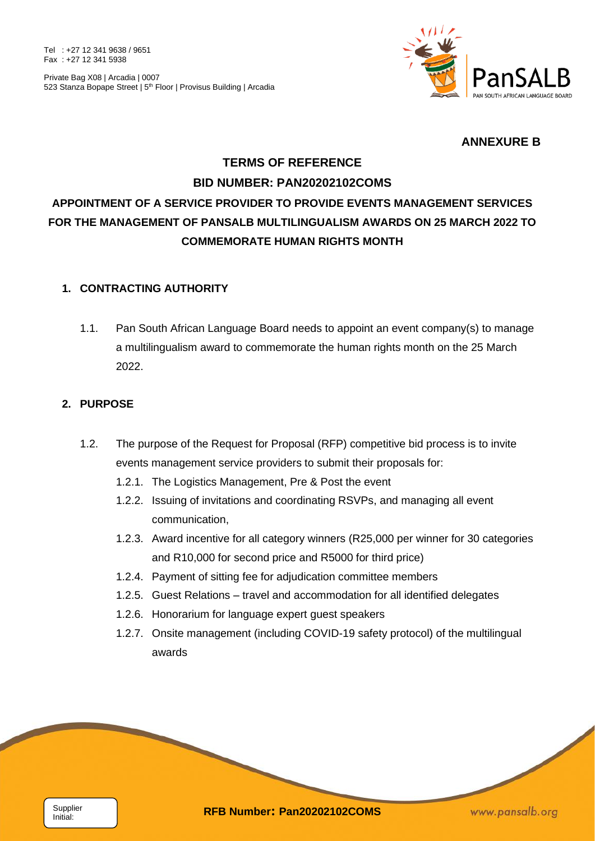Tel : +27 12 341 9638 / 9651 Fax : +27 12 341 5938



## **ANNEXURE B**

# **TERMS OF REFERENCE BID NUMBER: PAN20202102COMS APPOINTMENT OF A SERVICE PROVIDER TO PROVIDE EVENTS MANAGEMENT SERVICES FOR THE MANAGEMENT OF PANSALB MULTILINGUALISM AWARDS ON 25 MARCH 2022 TO COMMEMORATE HUMAN RIGHTS MONTH**

## **1. CONTRACTING AUTHORITY**

1.1. Pan South African Language Board needs to appoint an event company(s) to manage a multilingualism award to commemorate the human rights month on the 25 March 2022.

## **2. PURPOSE**

- 1.2. The purpose of the Request for Proposal (RFP) competitive bid process is to invite events management service providers to submit their proposals for:
	- 1.2.1. The Logistics Management, Pre & Post the event
	- 1.2.2. Issuing of invitations and coordinating RSVPs, and managing all event communication,
	- 1.2.3. Award incentive for all category winners (R25,000 per winner for 30 categories and R10,000 for second price and R5000 for third price)
	- 1.2.4. Payment of sitting fee for adjudication committee members
	- 1.2.5. Guest Relations travel and accommodation for all identified delegates
	- 1.2.6. Honorarium for language expert guest speakers

**Reading Contract on the Contract of the Contract of The Contract of The Contract of The Contract of The Contract of The Contract of The Contract of The Contract of The Contract of The Contract of The Contract of The Contr** 

1.2.7. Onsite management (including COVID-19 safety protocol) of the multilingual awards

Initial:

**RFB Number: Pan20202102COMS** Supplier

www.pansalb.org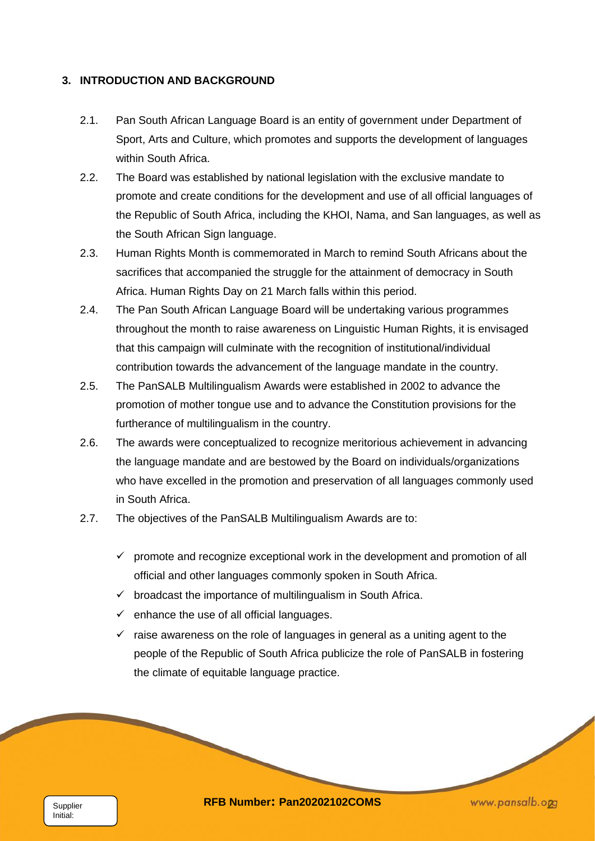#### **3. INTRODUCTION AND BACKGROUND**

- 2.1. Pan South African Language Board is an entity of government under Department of Sport, Arts and Culture, which promotes and supports the development of languages within South Africa.
- 2.2. The Board was established by national legislation with the exclusive mandate to promote and create conditions for the development and use of all official languages of the Republic of South Africa, including the KHOI, Nama, and San languages, as well as the South African Sign language.
- 2.3. Human Rights Month is commemorated in March to remind South Africans about the sacrifices that accompanied the struggle for the attainment of democracy in South Africa. Human Rights Day on 21 March falls within this period.
- 2.4. The Pan South African Language Board will be undertaking various programmes throughout the month to raise awareness on Linguistic Human Rights, it is envisaged that this campaign will culminate with the recognition of institutional/individual contribution towards the advancement of the language mandate in the country.
- 2.5. The PanSALB Multilingualism Awards were established in 2002 to advance the promotion of mother tongue use and to advance the Constitution provisions for the furtherance of multilingualism in the country.
- 2.6. The awards were conceptualized to recognize meritorious achievement in advancing the language mandate and are bestowed by the Board on individuals/organizations who have excelled in the promotion and preservation of all languages commonly used in South Africa.
- 2.7. The objectives of the PanSALB Multilingualism Awards are to:
	- $\checkmark$  promote and recognize exceptional work in the development and promotion of all official and other languages commonly spoken in South Africa.
	- $\checkmark$  broadcast the importance of multilingualism in South Africa.
	- $\checkmark$  enhance the use of all official languages.

 $\checkmark$  raise awareness on the role of languages in general as a uniting agent to the people of the Republic of South Africa publicize the role of PanSALB in fostering the climate of equitable language practice.

Initial:

**RFB Number: Pan20202102COMS** *www.pansalb.org www.pansalb.org*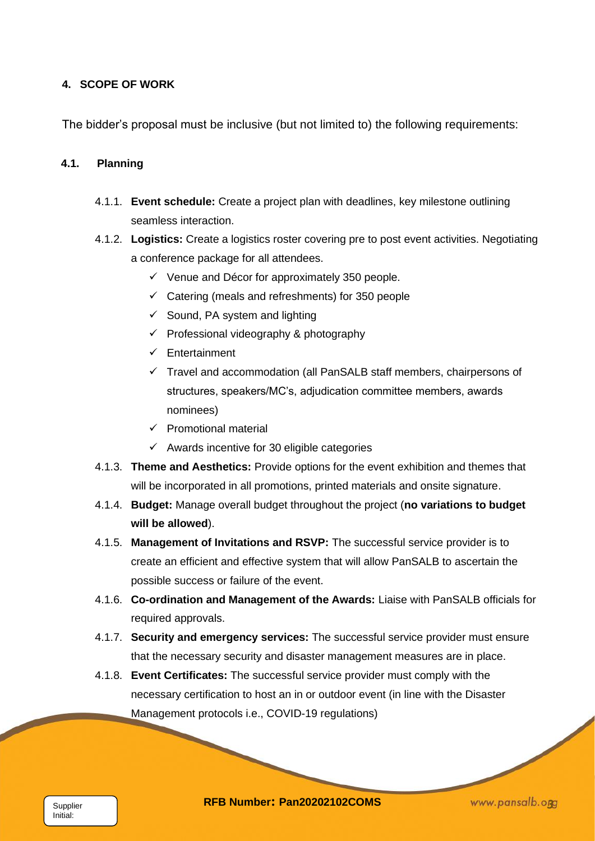## **4. SCOPE OF WORK**

The bidder's proposal must be inclusive (but not limited to) the following requirements:

#### **4.1. Planning**

- 4.1.1. **Event schedule:** Create a project plan with deadlines, key milestone outlining seamless interaction.
- 4.1.2. **Logistics:** Create a logistics roster covering pre to post event activities. Negotiating a conference package for all attendees.
	- $\checkmark$  Venue and Décor for approximately 350 people.
	- $\checkmark$  Catering (meals and refreshments) for 350 people
	- $\checkmark$  Sound, PA system and lighting
	- ✓ Professional videography & photography
	- ✓ Entertainment
	- ✓ Travel and accommodation (all PanSALB staff members, chairpersons of structures, speakers/MC's, adjudication committee members, awards nominees)
	- $\checkmark$  Promotional material
	- $\checkmark$  Awards incentive for 30 eligible categories
- 4.1.3. **Theme and Aesthetics:** Provide options for the event exhibition and themes that will be incorporated in all promotions, printed materials and onsite signature.
- 4.1.4. **Budget:** Manage overall budget throughout the project (**no variations to budget will be allowed**).
- 4.1.5. **Management of Invitations and RSVP:** The successful service provider is to create an efficient and effective system that will allow PanSALB to ascertain the possible success or failure of the event.
- 4.1.6. **Co-ordination and Management of the Awards:** Liaise with PanSALB officials for required approvals.
- 4.1.7. **Security and emergency services:** The successful service provider must ensure that the necessary security and disaster management measures are in place.
- 4.1.8. **Event Certificates:** The successful service provider must comply with the necessary certification to host an in or outdoor event (in line with the Disaster Management protocols i.e., COVID-19 regulations)

**RFB Number: Pan20202102COMS** *www.pansalb.ogg*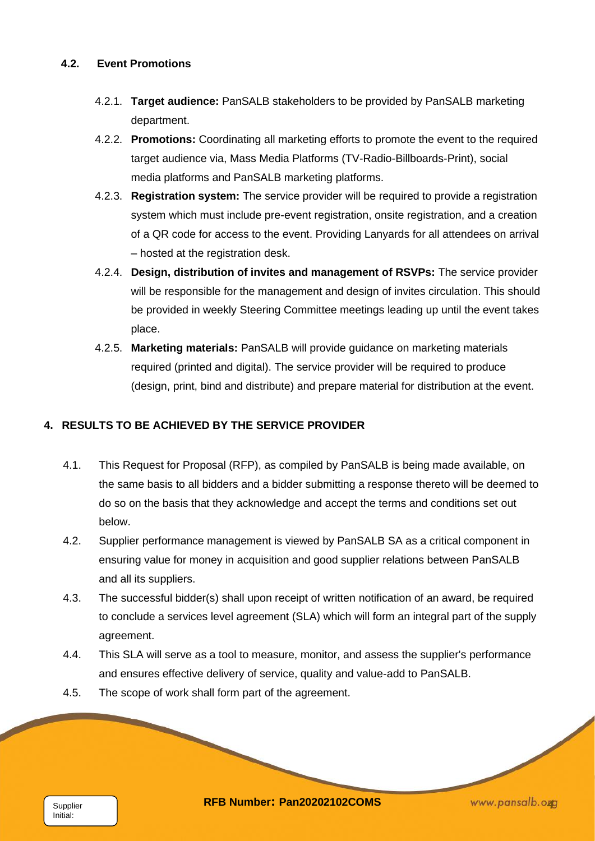## **4.2. Event Promotions**

- 4.2.1. **Target audience:** PanSALB stakeholders to be provided by PanSALB marketing department.
- 4.2.2. **Promotions:** Coordinating all marketing efforts to promote the event to the required target audience via, Mass Media Platforms (TV-Radio-Billboards-Print), social media platforms and PanSALB marketing platforms.
- 4.2.3. **Registration system:** The service provider will be required to provide a registration system which must include pre-event registration, onsite registration, and a creation of a QR code for access to the event. Providing Lanyards for all attendees on arrival – hosted at the registration desk.
- 4.2.4. **Design, distribution of invites and management of RSVPs:** The service provider will be responsible for the management and design of invites circulation. This should be provided in weekly Steering Committee meetings leading up until the event takes place.
- 4.2.5. **Marketing materials:** PanSALB will provide guidance on marketing materials required (printed and digital). The service provider will be required to produce (design, print, bind and distribute) and prepare material for distribution at the event.

## **4. RESULTS TO BE ACHIEVED BY THE SERVICE PROVIDER**

- 4.1. This Request for Proposal (RFP), as compiled by PanSALB is being made available, on the same basis to all bidders and a bidder submitting a response thereto will be deemed to do so on the basis that they acknowledge and accept the terms and conditions set out below.
- 4.2. Supplier performance management is viewed by PanSALB SA as a critical component in ensuring value for money in acquisition and good supplier relations between PanSALB and all its suppliers.
- 4.3. The successful bidder(s) shall upon receipt of written notification of an award, be required to conclude a services level agreement (SLA) which will form an integral part of the supply agreement.
- 4.4. This SLA will serve as a tool to measure, monitor, and assess the supplier's performance and ensures effective delivery of service, quality and value-add to PanSALB.
- 4.5. The scope of work shall form part of the agreement.

**RFB Number: Pan20202102COMS** *Allemany and allemance www.pansalb.org**www.pansalb.org*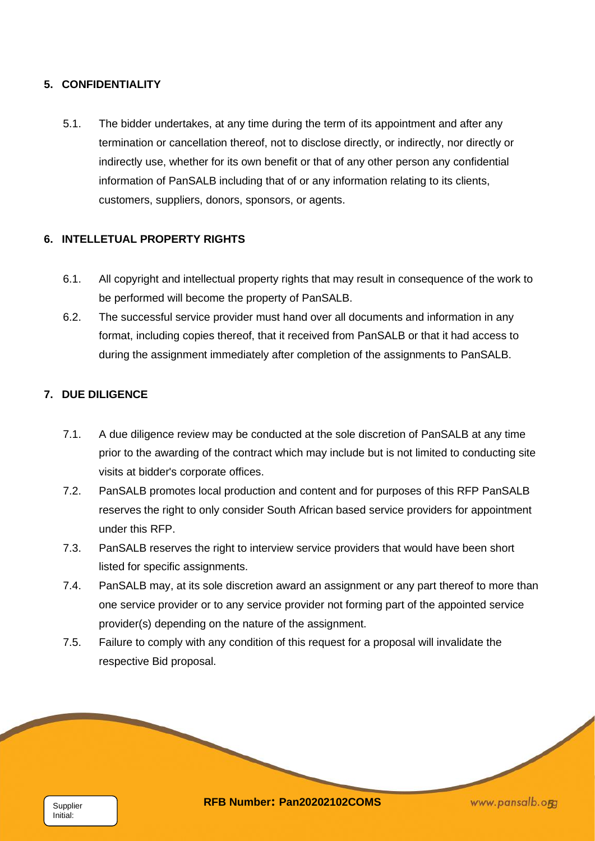## **5. CONFIDENTIALITY**

5.1. The bidder undertakes, at any time during the term of its appointment and after any termination or cancellation thereof, not to disclose directly, or indirectly, nor directly or indirectly use, whether for its own benefit or that of any other person any confidential information of PanSALB including that of or any information relating to its clients, customers, suppliers, donors, sponsors, or agents.

## **6. INTELLETUAL PROPERTY RIGHTS**

- 6.1. All copyright and intellectual property rights that may result in consequence of the work to be performed will become the property of PanSALB.
- 6.2. The successful service provider must hand over all documents and information in any format, including copies thereof, that it received from PanSALB or that it had access to during the assignment immediately after completion of the assignments to PanSALB.

## **7. DUE DILIGENCE**

- 7.1. A due diligence review may be conducted at the sole discretion of PanSALB at any time prior to the awarding of the contract which may include but is not limited to conducting site visits at bidder's corporate offices.
- 7.2. PanSALB promotes local production and content and for purposes of this RFP PanSALB reserves the right to only consider South African based service providers for appointment under this RFP.
- 7.3. PanSALB reserves the right to interview service providers that would have been short listed for specific assignments.
- 7.4. PanSALB may, at its sole discretion award an assignment or any part thereof to more than one service provider or to any service provider not forming part of the appointed service provider(s) depending on the nature of the assignment.
- 7.5. Failure to comply with any condition of this request for a proposal will invalidate the respective Bid proposal.

Initial:

**RFB Number: Pan20202102COMS** *www.pansalb.ogg*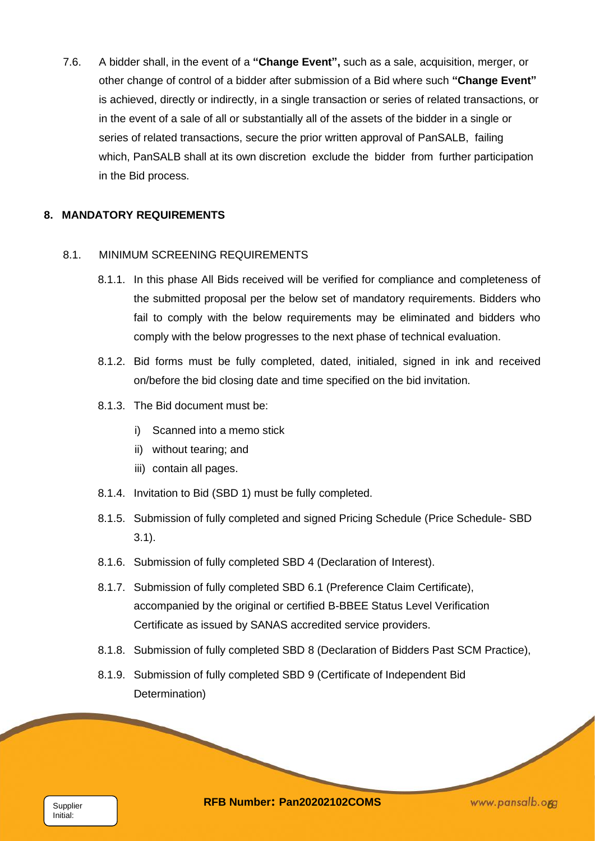7.6. A bidder shall, in the event of a **"Change Event",** such as a sale, acquisition, merger, or other change of control of a bidder after submission of a Bid where such **"Change Event"** is achieved, directly or indirectly, in a single transaction or series of related transactions, or in the event of a sale of all or substantially all of the assets of the bidder in a single or series of related transactions, secure the prior written approval of PanSALB, failing which, PanSALB shall at its own discretion exclude the bidder from further participation in the Bid process.

#### **8. MANDATORY REQUIREMENTS**

#### 8.1. MINIMUM SCREENING REQUIREMENTS

- 8.1.1. In this phase All Bids received will be verified for compliance and completeness of the submitted proposal per the below set of mandatory requirements. Bidders who fail to comply with the below requirements may be eliminated and bidders who comply with the below progresses to the next phase of technical evaluation.
- 8.1.2. Bid forms must be fully completed, dated, initialed, signed in ink and received on/before the bid closing date and time specified on the bid invitation.
- 8.1.3. The Bid document must be:
	- i) Scanned into a memo stick
	- ii) without tearing; and

- iii) contain all pages.
- 8.1.4. Invitation to Bid (SBD 1) must be fully completed.
- 8.1.5. Submission of fully completed and signed Pricing Schedule (Price Schedule- SBD 3.1).
- 8.1.6. Submission of fully completed SBD 4 (Declaration of Interest).
- 8.1.7. Submission of fully completed SBD 6.1 (Preference Claim Certificate), accompanied by the original or certified B-BBEE Status Level Verification Certificate as issued by SANAS accredited service providers.
- 8.1.8. Submission of fully completed SBD 8 (Declaration of Bidders Past SCM Practice),
- 8.1.9. Submission of fully completed SBD 9 (Certificate of Independent Bid Determination)

**RFB Number: Pan20202102COMS** *KWW.pansalb.org*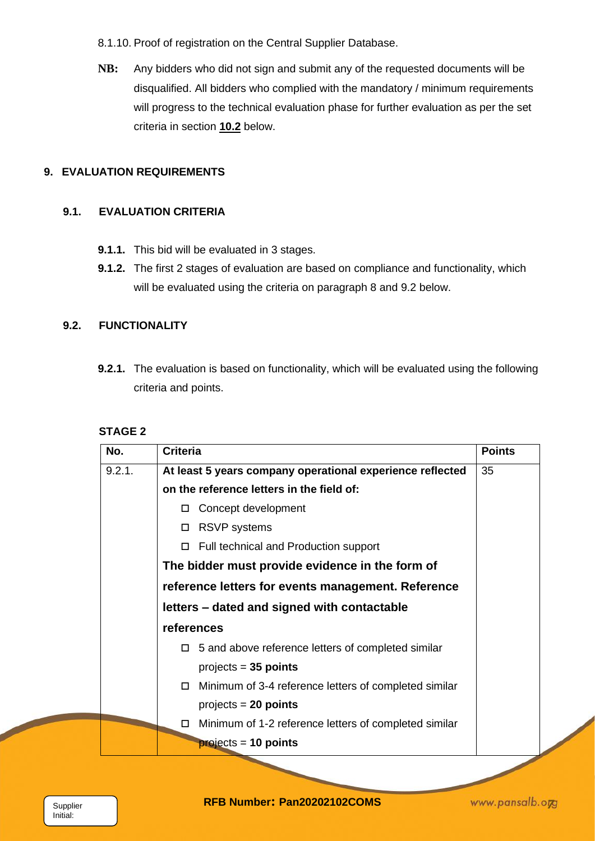8.1.10. Proof of registration on the Central Supplier Database.

**NB:** Any bidders who did not sign and submit any of the requested documents will be disqualified. All bidders who complied with the mandatory / minimum requirements will progress to the technical evaluation phase for further evaluation as per the set criteria in section **10.2** below.

## **9. EVALUATION REQUIREMENTS**

## **9.1. EVALUATION CRITERIA**

- **9.1.1.** This bid will be evaluated in 3 stages.
- **9.1.2.** The first 2 stages of evaluation are based on compliance and functionality, which will be evaluated using the criteria on paragraph 8 and 9.2 below.

## **9.2. FUNCTIONALITY**

**9.2.1.** The evaluation is based on functionality, which will be evaluated using the following criteria and points.

## **STAGE 2**

| No.    | <b>Criteria</b>                                            | <b>Points</b> |
|--------|------------------------------------------------------------|---------------|
| 9.2.1. | At least 5 years company operational experience reflected  | 35            |
|        | on the reference letters in the field of:                  |               |
|        | Concept development<br>0.                                  |               |
|        | <b>RSVP</b> systems<br>□                                   |               |
|        | $\Box$ Full technical and Production support               |               |
|        | The bidder must provide evidence in the form of            |               |
|        | reference letters for events management. Reference         |               |
|        | letters – dated and signed with contactable                |               |
|        | references                                                 |               |
|        | $\Box$ 5 and above reference letters of completed similar  |               |
|        | $projects = 35 points$                                     |               |
|        | Minimum of 3-4 reference letters of completed similar<br>□ |               |
|        | $projects = 20 points$                                     |               |
|        | Minimum of 1-2 reference letters of completed similar      |               |
|        | $projects = 10 points$                                     |               |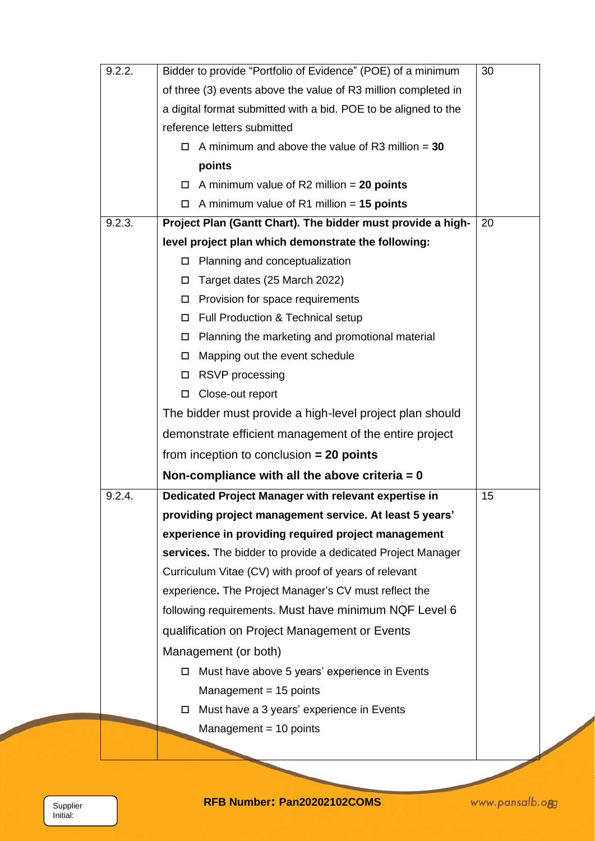| 9.2.2. | Bidder to provide "Portfolio of Evidence" (POE) of a minimum      | 30 |  |  |
|--------|-------------------------------------------------------------------|----|--|--|
|        | of three (3) events above the value of R3 million completed in    |    |  |  |
|        | a digital format submitted with a bid. POE to be aligned to the   |    |  |  |
|        | reference letters submitted                                       |    |  |  |
|        | A minimum and above the value of R3 million $=$ 30<br>0.          |    |  |  |
|        | points                                                            |    |  |  |
|        | A minimum value of R2 million $= 20$ points                       |    |  |  |
|        | $\Box$ A minimum value of R1 million = 15 points                  |    |  |  |
| 9.2.3. | Project Plan (Gantt Chart). The bidder must provide a high-<br>20 |    |  |  |
|        | level project plan which demonstrate the following:               |    |  |  |
|        | Planning and conceptualization<br>□                               |    |  |  |
|        | Target dates (25 March 2022)<br>0                                 |    |  |  |
|        | Provision for space requirements                                  |    |  |  |
|        | Full Production & Technical setup                                 |    |  |  |
|        | Planning the marketing and promotional material<br>□              |    |  |  |
|        | Mapping out the event schedule<br>0                               |    |  |  |
|        | RSVP processing<br>□                                              |    |  |  |
|        | Close-out report<br>□                                             |    |  |  |
|        | The bidder must provide a high-level project plan should          |    |  |  |
|        | demonstrate efficient management of the entire project            |    |  |  |
|        | from inception to conclusion $= 20$ points                        |    |  |  |
|        | Non-compliance with all the above criteria = $0$                  |    |  |  |
| 9.2.4. | Dedicated Project Manager with relevant expertise in              | 15 |  |  |
|        | providing project management service. At least 5 years'           |    |  |  |
|        | experience in providing required project management               |    |  |  |
|        | services. The bidder to provide a dedicated Project Manager       |    |  |  |
|        | Curriculum Vitae (CV) with proof of years of relevant             |    |  |  |
|        | experience. The Project Manager's CV must reflect the             |    |  |  |
|        | following requirements. Must have minimum NQF Level 6             |    |  |  |
|        | qualification on Project Management or Events                     |    |  |  |
|        | Management (or both)                                              |    |  |  |
|        | Must have above 5 years' experience in Events<br>0                |    |  |  |
|        | Management $= 15$ points                                          |    |  |  |
|        | Must have a 3 years' experience in Events<br>$\Box$               |    |  |  |
|        | Management $= 10$ points                                          |    |  |  |
|        |                                                                   |    |  |  |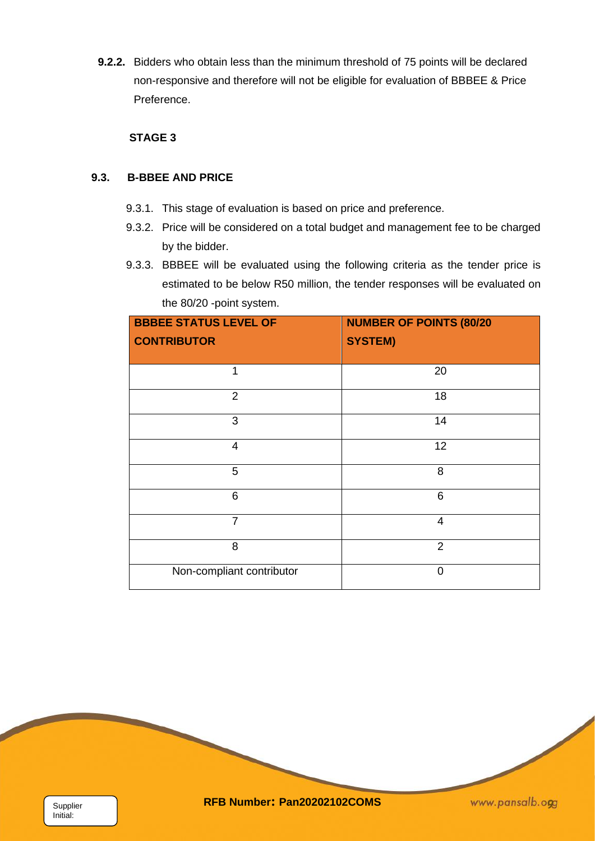**9.2.2.** Bidders who obtain less than the minimum threshold of 75 points will be declared non-responsive and therefore will not be eligible for evaluation of BBBEE & Price Preference.

## **STAGE 3**

## **9.3. B-BBEE AND PRICE**

- 9.3.1. This stage of evaluation is based on price and preference.
- 9.3.2. Price will be considered on a total budget and management fee to be charged by the bidder.
- 9.3.3. BBBEE will be evaluated using the following criteria as the tender price is estimated to be below R50 million, the tender responses will be evaluated on the 80/20 -point system.

| <b>BBBEE STATUS LEVEL OF</b><br><b>CONTRIBUTOR</b> | <b>NUMBER OF POINTS (80/20</b><br><b>SYSTEM)</b> |  |
|----------------------------------------------------|--------------------------------------------------|--|
|                                                    |                                                  |  |
| 1                                                  | 20                                               |  |
| $\overline{2}$                                     | 18                                               |  |
| 3                                                  | 14                                               |  |
| $\overline{4}$                                     | 12                                               |  |
| 5                                                  | 8                                                |  |
| 6                                                  | 6                                                |  |
| $\overline{7}$                                     | $\overline{4}$                                   |  |
| 8                                                  | $\overline{2}$                                   |  |
| Non-compliant contributor                          | $\overline{0}$                                   |  |